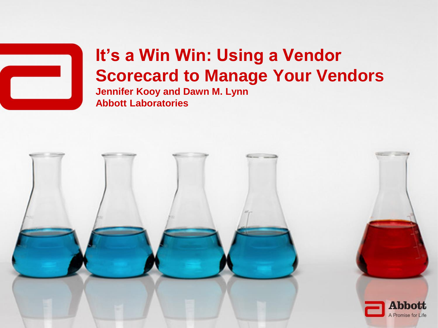

### **It's a Win Win: Using a Vendor Scorecard to Manage Your Vendors Jennifer Kooy and Dawn M. Lynn Abbott Laboratories**

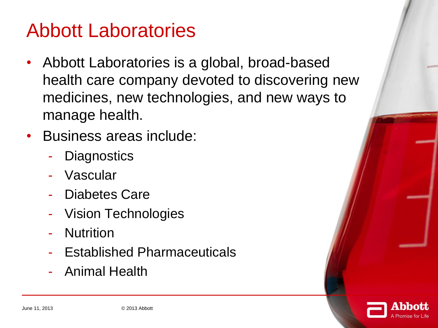### Abbott Laboratories

- Abbott Laboratories is a global, broad-based health care company devoted to discovering new medicines, new technologies, and new ways to manage health.
- Business areas include:
	- **Diagnostics**
	- **Vascular**
	- Diabetes Care
	- Vision Technologies
	- **Nutrition**
	- Established Pharmaceuticals
	- Animal Health

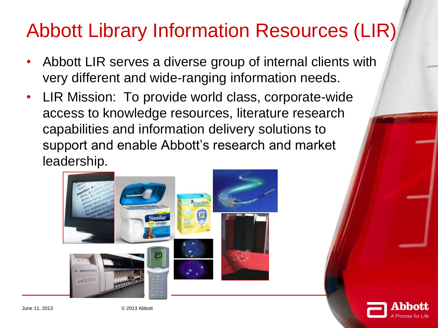## Abbott Library Information Resources (LIR)

- Abbott LIR serves a diverse group of internal clients with very different and wide-ranging information needs.
- LIR Mission: To provide world class, corporate-wide access to knowledge resources, literature research capabilities and information delivery solutions to support and enable Abbott's research and market leadership.



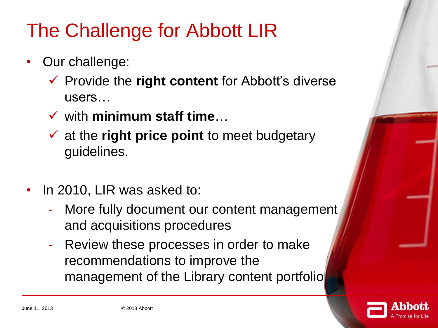## The Challenge for Abbott LIR

- Our challenge:
	- Provide the **right content** for Abbott's diverse users…
	- with **minimum staff time**…
	- at the **right price point** to meet budgetary guidelines.
- In 2010, LIR was asked to:
	- More fully document our content management and acquisitions procedures
	- Review these processes in order to make recommendations to improve the management of the Library content portfolio

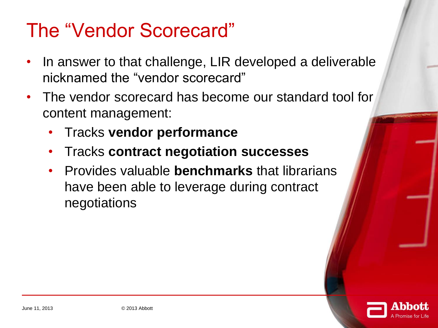### The "Vendor Scorecard"

- In answer to that challenge, LIR developed a deliverable nicknamed the "vendor scorecard"
- The vendor scorecard has become our standard tool for content management:
	- Tracks **vendor performance**
	- Tracks **contract negotiation successes**
	- Provides valuable **benchmarks** that librarians have been able to leverage during contract negotiations

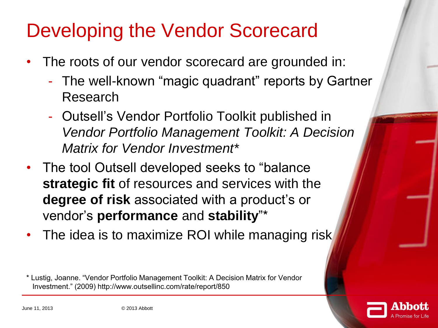## Developing the Vendor Scorecard

- The roots of our vendor scorecard are grounded in:
	- The well-known "magic quadrant" reports by Gartner Research
	- Outsell's Vendor Portfolio Toolkit published in *Vendor Portfolio Management Toolkit: A Decision Matrix for Vendor Investment\**
- The tool Outsell developed seeks to "balance **strategic fit** of resources and services with the **degree of risk** associated with a product's or vendor's **performance** and **stability**"\*
- The idea is to maximize ROI while managing risk

\* Lustig, Joanne. "Vendor Portfolio Management Toolkit: A Decision Matrix for Vendor Investment." (2009) http://www.outsellinc.com/rate/report/850

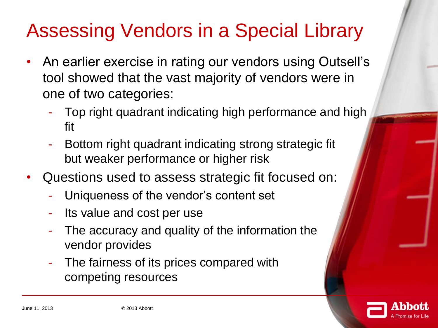# Assessing Vendors in a Special Library

- An earlier exercise in rating our vendors using Outsell's tool showed that the vast majority of vendors were in one of two categories:
	- Top right quadrant indicating high performance and high fit
	- Bottom right quadrant indicating strong strategic fit but weaker performance or higher risk
- Questions used to assess strategic fit focused on:
	- Uniqueness of the vendor's content set
	- Its value and cost per use
	- The accuracy and quality of the information the vendor provides
	- The fairness of its prices compared with competing resources

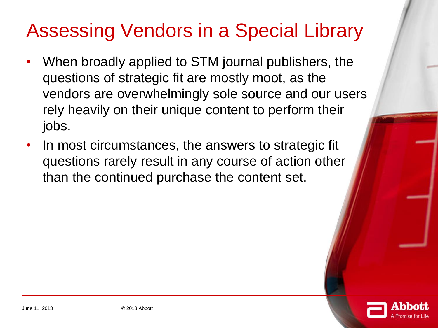## Assessing Vendors in a Special Library

- When broadly applied to STM journal publishers, the questions of strategic fit are mostly moot, as the vendors are overwhelmingly sole source and our users rely heavily on their unique content to perform their jobs.
- In most circumstances, the answers to strategic fit questions rarely result in any course of action other than the continued purchase the content set.

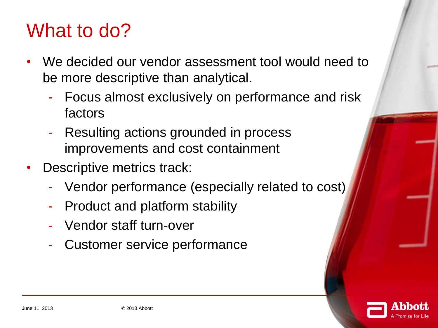## What to do?

- We decided our vendor assessment tool would need to be more descriptive than analytical.
	- Focus almost exclusively on performance and risk factors
	- Resulting actions grounded in process improvements and cost containment
- Descriptive metrics track:
	- Vendor performance (especially related to cost)
	- Product and platform stability
	- Vendor staff turn-over
	- Customer service performance

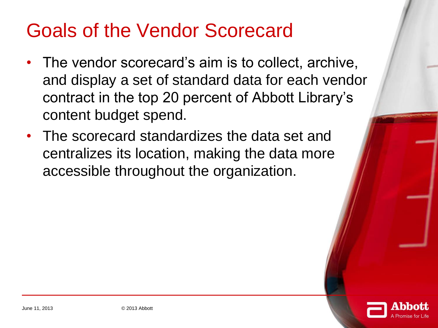### Goals of the Vendor Scorecard

- The vendor scorecard's aim is to collect, archive, and display a set of standard data for each vendor contract in the top 20 percent of Abbott Library's content budget spend.
- The scorecard standardizes the data set and centralizes its location, making the data more accessible throughout the organization.

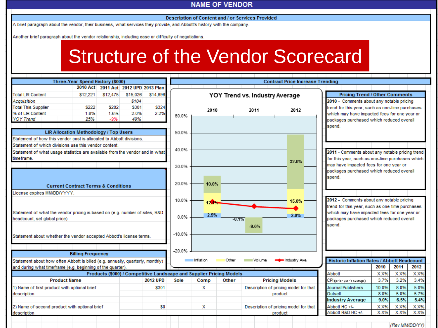#### Description of Content and / or Services Provided

A brief paragraph about the vendor, their business, what services they provide, and Abbott's history with the company.<br>Another brief paragraph about the vendor relationship, including ease or difficulty of negotiations.

### Structure of the Vendor Scorecard

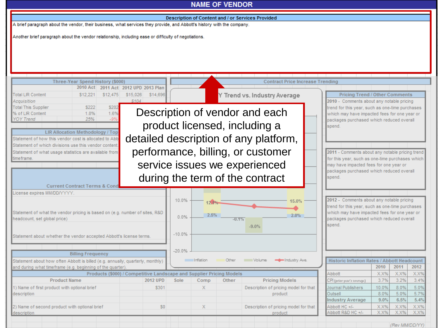| <b>Total LIR Content</b><br>\$12.221<br>\$12,475                     | \$15,026<br>\$14,696                                                                                                                                                                                                                                                                                                                                                                                                                                                                                                                                                                                                                                                                                                                                                                                                                                                                                                                                                                                                                                                                                                                                                                                                                                                                                                                                                                                                                                                                                                                                                                                                                                                                                                                                                                                                  |  |  |  |  |  |  |  |  |
|----------------------------------------------------------------------|-----------------------------------------------------------------------------------------------------------------------------------------------------------------------------------------------------------------------------------------------------------------------------------------------------------------------------------------------------------------------------------------------------------------------------------------------------------------------------------------------------------------------------------------------------------------------------------------------------------------------------------------------------------------------------------------------------------------------------------------------------------------------------------------------------------------------------------------------------------------------------------------------------------------------------------------------------------------------------------------------------------------------------------------------------------------------------------------------------------------------------------------------------------------------------------------------------------------------------------------------------------------------------------------------------------------------------------------------------------------------------------------------------------------------------------------------------------------------------------------------------------------------------------------------------------------------------------------------------------------------------------------------------------------------------------------------------------------------------------------------------------------------------------------------------------------------|--|--|--|--|--|--|--|--|
| Acquisition                                                          |                                                                                                                                                                                                                                                                                                                                                                                                                                                                                                                                                                                                                                                                                                                                                                                                                                                                                                                                                                                                                                                                                                                                                                                                                                                                                                                                                                                                                                                                                                                                                                                                                                                                                                                                                                                                                       |  |  |  |  |  |  |  |  |
| <b>Total This Supplier</b><br>1.6%<br>% of LIR Content<br>1.8%       | <b>NAME OF VENDOR</b><br><b>Description of Content and / or Services Provided</b><br><b>Contract Price Increase Trending</b><br>Y Trend vs. Industry Average<br><b>Pricing Trend / Other Comments</b><br>2010 - Comments about any notable pricing<br>\$202<br>trend for this year, such as one-time purchases<br>Description of vendor and each<br>which may have impacted fees for one year or<br>-99<br>packages purchased which reduced overall<br>product licensed, including a<br>spend.<br>detailed description of any platform,<br>performance, billing, or customer<br>2011 - Comments about any notable pricing trend<br>for this year, such as one-time purchases which<br>service issues we experienced<br>may have impacted fees for one year or<br>packages purchased which reduced overall<br>during the term of the contract<br>spend.<br>2012 - Comments about any notable pricing<br>10.0%<br>15.0%<br>12.19<br>trend for this year, such as one-time purchases<br>which may have impacted fees for one year or<br>2.5%<br>2.0%<br>0.0%<br>packages purchased which reduced overall<br>$-0.1%$<br>spend.<br>$-9.0%$<br>$-10.0%$<br>$-20.0%$<br>Inflation<br>Other<br>Volume<br>-Industry Ave.<br>Historic Inflation Rates / Abbott Headcount<br>2010<br>2011<br>2012<br>Abbott<br>X.X%<br>X.X%<br>X.X%<br>3.7%<br>3.2%<br>3.4%<br>2012 UPD<br>Other<br><b>Pricing Models</b><br>Sole<br>Comp<br>CPI (prior year's average)<br>5.0%<br>\$301<br>$\mathsf{X}$<br>Journal Publishers<br>10.0%<br>8.0%<br>Description of pricing model for that<br>8.0%<br>5.0%<br>5.7%<br>Outsell<br>product<br>9.0%<br>6.5%<br>5.4%<br><b>Industry Average</b><br>X.X%<br>X.X%<br>Abbott HC +/-<br>X.X%<br>\$0<br>X.<br>Description of pricing model for that<br>Abbott R&D HC +/-<br>X.X%<br>X.X%<br>X.X%<br>product |  |  |  |  |  |  |  |  |
| <b>YOY Trend</b><br>25%                                              |                                                                                                                                                                                                                                                                                                                                                                                                                                                                                                                                                                                                                                                                                                                                                                                                                                                                                                                                                                                                                                                                                                                                                                                                                                                                                                                                                                                                                                                                                                                                                                                                                                                                                                                                                                                                                       |  |  |  |  |  |  |  |  |
|                                                                      |                                                                                                                                                                                                                                                                                                                                                                                                                                                                                                                                                                                                                                                                                                                                                                                                                                                                                                                                                                                                                                                                                                                                                                                                                                                                                                                                                                                                                                                                                                                                                                                                                                                                                                                                                                                                                       |  |  |  |  |  |  |  |  |
| Statement of how this vendor cost is allocated to Abb                |                                                                                                                                                                                                                                                                                                                                                                                                                                                                                                                                                                                                                                                                                                                                                                                                                                                                                                                                                                                                                                                                                                                                                                                                                                                                                                                                                                                                                                                                                                                                                                                                                                                                                                                                                                                                                       |  |  |  |  |  |  |  |  |
| Statement of which divisions use this vendor content.                |                                                                                                                                                                                                                                                                                                                                                                                                                                                                                                                                                                                                                                                                                                                                                                                                                                                                                                                                                                                                                                                                                                                                                                                                                                                                                                                                                                                                                                                                                                                                                                                                                                                                                                                                                                                                                       |  |  |  |  |  |  |  |  |
| Statement of what usage statistics are available from<br>time frame. |                                                                                                                                                                                                                                                                                                                                                                                                                                                                                                                                                                                                                                                                                                                                                                                                                                                                                                                                                                                                                                                                                                                                                                                                                                                                                                                                                                                                                                                                                                                                                                                                                                                                                                                                                                                                                       |  |  |  |  |  |  |  |  |
|                                                                      | Three-Year Spend History (\$000)<br>2010 Act 2011 Act 2012 UPD 2013 Plan<br>\$222<br>LIR Allocation Methodology / Top<br><b>Current Contract Terms &amp; Cond</b><br><b>Billing Frequency</b><br>Products (\$000) / Competitive Landscape and Supplier Pricing Models<br><b>Product Name</b>                                                                                                                                                                                                                                                                                                                                                                                                                                                                                                                                                                                                                                                                                                                                                                                                                                                                                                                                                                                                                                                                                                                                                                                                                                                                                                                                                                                                                                                                                                                          |  |  |  |  |  |  |  |  |
|                                                                      | A brief paragraph about the vendor, their business, what services they provide, and Abbott's history with the company.<br>Another brief paragraph about the vendor relationship, including ease or difficulty of negotiations.<br>Statement of what the vendor pricing is based on (e.g. number of sites, R&D<br>Statement about whether the vendor accepted Abbott's license terms.<br>Statement about how often Abbott is billed (e.g. annually, quarterly, monthly)                                                                                                                                                                                                                                                                                                                                                                                                                                                                                                                                                                                                                                                                                                                                                                                                                                                                                                                                                                                                                                                                                                                                                                                                                                                                                                                                                |  |  |  |  |  |  |  |  |
|                                                                      |                                                                                                                                                                                                                                                                                                                                                                                                                                                                                                                                                                                                                                                                                                                                                                                                                                                                                                                                                                                                                                                                                                                                                                                                                                                                                                                                                                                                                                                                                                                                                                                                                                                                                                                                                                                                                       |  |  |  |  |  |  |  |  |
| License expires MM/DD/YYYY.                                          |                                                                                                                                                                                                                                                                                                                                                                                                                                                                                                                                                                                                                                                                                                                                                                                                                                                                                                                                                                                                                                                                                                                                                                                                                                                                                                                                                                                                                                                                                                                                                                                                                                                                                                                                                                                                                       |  |  |  |  |  |  |  |  |
|                                                                      |                                                                                                                                                                                                                                                                                                                                                                                                                                                                                                                                                                                                                                                                                                                                                                                                                                                                                                                                                                                                                                                                                                                                                                                                                                                                                                                                                                                                                                                                                                                                                                                                                                                                                                                                                                                                                       |  |  |  |  |  |  |  |  |
|                                                                      |                                                                                                                                                                                                                                                                                                                                                                                                                                                                                                                                                                                                                                                                                                                                                                                                                                                                                                                                                                                                                                                                                                                                                                                                                                                                                                                                                                                                                                                                                                                                                                                                                                                                                                                                                                                                                       |  |  |  |  |  |  |  |  |
| headcount, set global price)                                         |                                                                                                                                                                                                                                                                                                                                                                                                                                                                                                                                                                                                                                                                                                                                                                                                                                                                                                                                                                                                                                                                                                                                                                                                                                                                                                                                                                                                                                                                                                                                                                                                                                                                                                                                                                                                                       |  |  |  |  |  |  |  |  |
|                                                                      |                                                                                                                                                                                                                                                                                                                                                                                                                                                                                                                                                                                                                                                                                                                                                                                                                                                                                                                                                                                                                                                                                                                                                                                                                                                                                                                                                                                                                                                                                                                                                                                                                                                                                                                                                                                                                       |  |  |  |  |  |  |  |  |
|                                                                      |                                                                                                                                                                                                                                                                                                                                                                                                                                                                                                                                                                                                                                                                                                                                                                                                                                                                                                                                                                                                                                                                                                                                                                                                                                                                                                                                                                                                                                                                                                                                                                                                                                                                                                                                                                                                                       |  |  |  |  |  |  |  |  |
|                                                                      |                                                                                                                                                                                                                                                                                                                                                                                                                                                                                                                                                                                                                                                                                                                                                                                                                                                                                                                                                                                                                                                                                                                                                                                                                                                                                                                                                                                                                                                                                                                                                                                                                                                                                                                                                                                                                       |  |  |  |  |  |  |  |  |
|                                                                      |                                                                                                                                                                                                                                                                                                                                                                                                                                                                                                                                                                                                                                                                                                                                                                                                                                                                                                                                                                                                                                                                                                                                                                                                                                                                                                                                                                                                                                                                                                                                                                                                                                                                                                                                                                                                                       |  |  |  |  |  |  |  |  |
|                                                                      |                                                                                                                                                                                                                                                                                                                                                                                                                                                                                                                                                                                                                                                                                                                                                                                                                                                                                                                                                                                                                                                                                                                                                                                                                                                                                                                                                                                                                                                                                                                                                                                                                                                                                                                                                                                                                       |  |  |  |  |  |  |  |  |
| and during what timeframe (e.g. beginning of the quarter).           |                                                                                                                                                                                                                                                                                                                                                                                                                                                                                                                                                                                                                                                                                                                                                                                                                                                                                                                                                                                                                                                                                                                                                                                                                                                                                                                                                                                                                                                                                                                                                                                                                                                                                                                                                                                                                       |  |  |  |  |  |  |  |  |
|                                                                      |                                                                                                                                                                                                                                                                                                                                                                                                                                                                                                                                                                                                                                                                                                                                                                                                                                                                                                                                                                                                                                                                                                                                                                                                                                                                                                                                                                                                                                                                                                                                                                                                                                                                                                                                                                                                                       |  |  |  |  |  |  |  |  |
| 1) Name of first product with optional brief                         |                                                                                                                                                                                                                                                                                                                                                                                                                                                                                                                                                                                                                                                                                                                                                                                                                                                                                                                                                                                                                                                                                                                                                                                                                                                                                                                                                                                                                                                                                                                                                                                                                                                                                                                                                                                                                       |  |  |  |  |  |  |  |  |
| description                                                          |                                                                                                                                                                                                                                                                                                                                                                                                                                                                                                                                                                                                                                                                                                                                                                                                                                                                                                                                                                                                                                                                                                                                                                                                                                                                                                                                                                                                                                                                                                                                                                                                                                                                                                                                                                                                                       |  |  |  |  |  |  |  |  |
|                                                                      |                                                                                                                                                                                                                                                                                                                                                                                                                                                                                                                                                                                                                                                                                                                                                                                                                                                                                                                                                                                                                                                                                                                                                                                                                                                                                                                                                                                                                                                                                                                                                                                                                                                                                                                                                                                                                       |  |  |  |  |  |  |  |  |
| 2) Name of second product with optional brief<br>description         |                                                                                                                                                                                                                                                                                                                                                                                                                                                                                                                                                                                                                                                                                                                                                                                                                                                                                                                                                                                                                                                                                                                                                                                                                                                                                                                                                                                                                                                                                                                                                                                                                                                                                                                                                                                                                       |  |  |  |  |  |  |  |  |
|                                                                      |                                                                                                                                                                                                                                                                                                                                                                                                                                                                                                                                                                                                                                                                                                                                                                                                                                                                                                                                                                                                                                                                                                                                                                                                                                                                                                                                                                                                                                                                                                                                                                                                                                                                                                                                                                                                                       |  |  |  |  |  |  |  |  |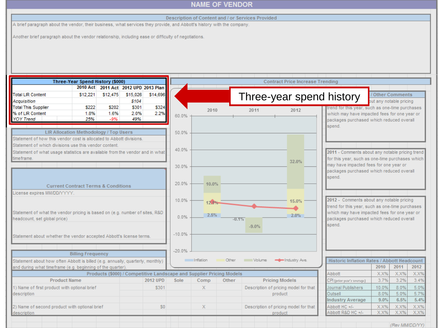#### Description of Content and / or Services Provided

A brief paragraph about the vendor, their business, what services they provide, and Abbott's history with the company.<br>Another brief paragraph about the vendor relationship, including ease or difficulty of negotiations.

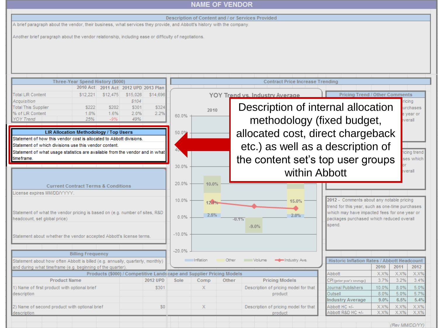|                                                                                                                                                                             |                         |                                                                      | <b>NAME OF VENDOR</b>                                                     |       |                                                  |                                                 |              |                 |              |  |  |  |  |
|-----------------------------------------------------------------------------------------------------------------------------------------------------------------------------|-------------------------|----------------------------------------------------------------------|---------------------------------------------------------------------------|-------|--------------------------------------------------|-------------------------------------------------|--------------|-----------------|--------------|--|--|--|--|
|                                                                                                                                                                             |                         |                                                                      |                                                                           |       |                                                  |                                                 |              |                 |              |  |  |  |  |
| Description of Content and / or Services Provided<br>A brief paragraph about the vendor, their business, what services they provide, and Abbott's history with the company. |                         |                                                                      |                                                                           |       |                                                  |                                                 |              |                 |              |  |  |  |  |
|                                                                                                                                                                             |                         |                                                                      |                                                                           |       |                                                  |                                                 |              |                 |              |  |  |  |  |
| Another brief paragraph about the vendor relationship, including ease or difficulty of negotiations.                                                                        |                         |                                                                      |                                                                           |       |                                                  |                                                 |              |                 |              |  |  |  |  |
|                                                                                                                                                                             |                         |                                                                      |                                                                           |       |                                                  |                                                 |              |                 |              |  |  |  |  |
|                                                                                                                                                                             |                         |                                                                      |                                                                           |       |                                                  |                                                 |              |                 |              |  |  |  |  |
|                                                                                                                                                                             |                         |                                                                      |                                                                           |       |                                                  |                                                 |              |                 |              |  |  |  |  |
|                                                                                                                                                                             |                         |                                                                      |                                                                           |       |                                                  |                                                 |              |                 |              |  |  |  |  |
|                                                                                                                                                                             |                         |                                                                      |                                                                           |       |                                                  |                                                 |              |                 |              |  |  |  |  |
| Three-Year Spend History (\$000)                                                                                                                                            |                         |                                                                      | <b>Contract Price Increase Trending</b>                                   |       |                                                  |                                                 |              |                 |              |  |  |  |  |
| 2010 Act 2011 Act 2012 UPD 2013 Plan                                                                                                                                        |                         |                                                                      |                                                                           |       |                                                  |                                                 |              |                 |              |  |  |  |  |
| <b>Total LIR Content</b><br>\$12,221<br>\$12,475                                                                                                                            | \$15,026<br>\$14,696    |                                                                      |                                                                           |       | YOY Trend vs. Industry Average                   | <b>Pricing Trend / Other Comments</b>           |              |                 |              |  |  |  |  |
| Acquisition<br>\$202<br><b>Total This Supplier</b><br>\$222                                                                                                                 | \$104<br>\$324<br>\$301 |                                                                      |                                                                           |       | Description of internal allocation               |                                                 |              | icing.          | urchases     |  |  |  |  |
| % of LIR Content<br>1.6%<br>1.8%                                                                                                                                            | 2.2%<br>2.0%            |                                                                      | 2010                                                                      |       | e year or                                        |                                                 |              |                 |              |  |  |  |  |
| 25%<br><b>YOY Trend</b><br>$-9%$                                                                                                                                            | 49%                     | 60.0%                                                                |                                                                           |       | methodology (fixed budget,                       |                                                 |              |                 |              |  |  |  |  |
|                                                                                                                                                                             |                         |                                                                      |                                                                           |       |                                                  |                                                 |              |                 |              |  |  |  |  |
| LIR Allocation Methodology / Top Users                                                                                                                                      |                         |                                                                      | allocated cost, direct chargeback<br>50.0%                                |       |                                                  |                                                 |              |                 |              |  |  |  |  |
| Statement of how this vendor cost is allocated to Abbott divisions.<br>Statement of which divisions use this vendor content.                                                |                         |                                                                      |                                                                           |       |                                                  |                                                 |              |                 |              |  |  |  |  |
|                                                                                                                                                                             |                         | etc.) as well as a description of                                    |                                                                           |       |                                                  |                                                 |              |                 | icing trend  |  |  |  |  |
| Statement of what usage statistics are available from the vendor and in what<br>time frame.                                                                                 |                         |                                                                      | the content set's top user groups<br>ses which                            |       |                                                  |                                                 |              |                 |              |  |  |  |  |
|                                                                                                                                                                             |                         |                                                                      | 30.0%                                                                     |       |                                                  |                                                 |              |                 |              |  |  |  |  |
|                                                                                                                                                                             |                         | within Abbott<br>verall                                              |                                                                           |       |                                                  |                                                 |              |                 |              |  |  |  |  |
|                                                                                                                                                                             |                         | 20.0%                                                                |                                                                           |       |                                                  |                                                 |              |                 |              |  |  |  |  |
| <b>Current Contract Terms &amp; Conditions</b>                                                                                                                              |                         |                                                                      | 10.0%                                                                     |       |                                                  |                                                 |              |                 |              |  |  |  |  |
| License expires MM/DD/YYYY.                                                                                                                                                 |                         |                                                                      |                                                                           |       |                                                  |                                                 |              |                 |              |  |  |  |  |
|                                                                                                                                                                             |                         |                                                                      | 2012 - Comments about any notable pricing<br>10.0%<br>15.0%<br>12.19      |       |                                                  |                                                 |              |                 |              |  |  |  |  |
|                                                                                                                                                                             |                         |                                                                      |                                                                           |       |                                                  | trend for this year, such as one-time purchases |              |                 |              |  |  |  |  |
| Statement of what the vendor pricing is based on (e.g. number of sites, R&D                                                                                                 |                         | which may have impacted fees for one year or<br>2.5%<br>2.0%<br>0.0% |                                                                           |       |                                                  |                                                 |              |                 |              |  |  |  |  |
| headcount, set global price)                                                                                                                                                |                         |                                                                      | packages purchased which reduced overall<br>$-0.1%$<br>spend.<br>$-9.0\%$ |       |                                                  |                                                 |              |                 |              |  |  |  |  |
|                                                                                                                                                                             |                         |                                                                      |                                                                           |       |                                                  |                                                 |              |                 |              |  |  |  |  |
| Statement about whether the vendor accepted Abbott's license terms.                                                                                                         |                         |                                                                      |                                                                           |       |                                                  |                                                 |              |                 |              |  |  |  |  |
|                                                                                                                                                                             |                         |                                                                      |                                                                           |       |                                                  |                                                 |              |                 |              |  |  |  |  |
| <b>Billing Frequency</b>                                                                                                                                                    |                         | $-20.0%$                                                             |                                                                           |       |                                                  |                                                 |              |                 |              |  |  |  |  |
| Statement about how often Abbott is billed (e.g. annually, quarterly, monthly)                                                                                              |                         |                                                                      | Inflation                                                                 | Other | Volume<br>-Industry Ave.                         | Historic Inflation Rates / Abbott Headcount     |              |                 |              |  |  |  |  |
| and during what timeframe (e.g. beginning of the quarter).                                                                                                                  |                         |                                                                      |                                                                           |       |                                                  |                                                 | 2010         | 2011            | 2012         |  |  |  |  |
| Products (\$000) / Competitive Landscape and Supplier Pricing Models                                                                                                        |                         |                                                                      |                                                                           |       |                                                  | Abbott                                          | X.X%         | $X.X\%$         | X.X%         |  |  |  |  |
| <b>Product Name</b>                                                                                                                                                         | 2012 UPD                | Sole                                                                 | Comp                                                                      | Other | <b>Pricing Models</b>                            | CPI (prior year's average).                     | 3.7%         | 3.2%            | 3.4%         |  |  |  |  |
| 1) Name of first product with optional brief                                                                                                                                | \$301                   |                                                                      | X                                                                         |       | Description of pricing model for that            | Journal Publishers                              | 10.0%        | 8.0%            | 5.0%         |  |  |  |  |
| description                                                                                                                                                                 |                         |                                                                      |                                                                           |       | product                                          | Outsell                                         | 8.0%         | 5.0%            | 5.7%         |  |  |  |  |
|                                                                                                                                                                             |                         |                                                                      |                                                                           |       |                                                  | <b>Industry Average</b>                         | 9.0%         | 6.5%            | 5.4%         |  |  |  |  |
| 2) Name of second product with optional brief<br>description                                                                                                                | \$0                     |                                                                      | Х                                                                         |       | Description of pricing model for that<br>product | Abbott HC +/-<br>Abbott R&D HC +/-              | X.X%<br>X.X% | X.X%<br>$X.X\%$ | X.X%<br>X.X% |  |  |  |  |
|                                                                                                                                                                             |                         |                                                                      |                                                                           |       |                                                  |                                                 |              |                 |              |  |  |  |  |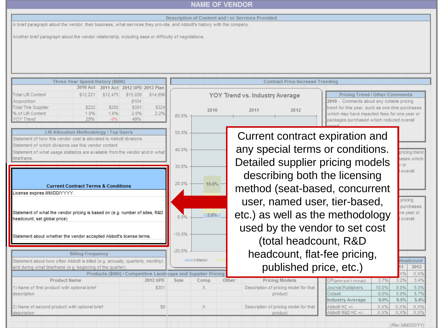#### Description of Content and / or Services Provided

A brief paragraph about the vendor, their business, what services they provide, and Abbott's history with the company.<br>Another brief paragraph about the vendor relationship, including ease or difficulty of negotiations.

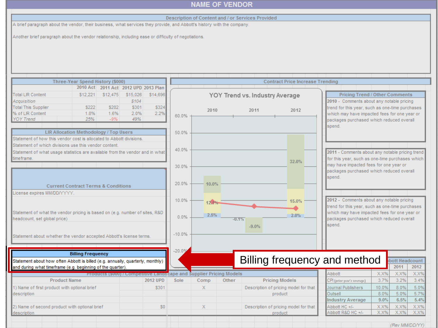#### Description of Content and / or Services Provided

A brief paragraph about the vendor, their business, what services they provide, and Abbott's history with the company.<br>Another brief paragraph about the vendor relationship, including ease or difficulty of negotiations.

| Three-Year Spend History (\$000)                                               |                          |          | <b>Contract Price Increase Trending</b> |          |            |                                                                             |         |                                |                                       |                                                 |       |                |      |
|--------------------------------------------------------------------------------|--------------------------|----------|-----------------------------------------|----------|------------|-----------------------------------------------------------------------------|---------|--------------------------------|---------------------------------------|-------------------------------------------------|-------|----------------|------|
|                                                                                |                          |          | 2010 Act 2011 Act 2012 UPD 2013 Plan    |          |            |                                                                             |         |                                |                                       |                                                 |       |                |      |
| <b>Total LIR Content</b>                                                       | \$12,221                 | \$12,475 | \$15,026                                | \$14,696 |            |                                                                             |         | YOY Trend vs. Industry Average |                                       | <b>Pricing Trend / Other Comments</b>           |       |                |      |
| Acquisition                                                                    |                          |          | \$104                                   |          |            |                                                                             |         |                                |                                       | 2010 - Comments about any notable pricing       |       |                |      |
| <b>Total This Supplier</b>                                                     | \$222                    | \$202    | \$301                                   | \$324    |            | 2010                                                                        |         | 2011                           | 2012                                  | trend for this year, such as one-time purchases |       |                |      |
| % of LIR Content                                                               | 1.8%                     | 1.6%     | 2.0%                                    | 2.2%     | $60.0\%$ - |                                                                             |         |                                |                                       | which may have impacted fees for one year or    |       |                |      |
| <b>YOY Trend</b>                                                               | 25%                      | $-9%$    | 49%                                     |          |            |                                                                             |         |                                |                                       | packages purchased which reduced overall        |       |                |      |
|                                                                                |                          |          |                                         |          |            |                                                                             |         |                                |                                       | spend.                                          |       |                |      |
| LIR Allocation Methodology / Top Users                                         |                          |          |                                         |          | 50.0%      |                                                                             |         |                                |                                       |                                                 |       |                |      |
| Statement of how this vendor cost is allocated to Abbott divisions.            |                          |          |                                         |          |            |                                                                             |         |                                |                                       |                                                 |       |                |      |
| Statement of which divisions use this vendor content.                          |                          |          |                                         |          |            |                                                                             |         |                                |                                       |                                                 |       |                |      |
| Statement of what usage statistics are available from the vendor and in what   |                          |          |                                         |          | 40.0%      |                                                                             |         |                                |                                       | 2011 - Comments about any notable pricing trend |       |                |      |
| time frame.                                                                    |                          |          |                                         |          |            |                                                                             |         |                                |                                       | for this year, such as one-time purchases which |       |                |      |
|                                                                                |                          |          |                                         |          | 30.0%      |                                                                             |         |                                | 32.0%                                 | may have impacted fees for one year or          |       |                |      |
|                                                                                |                          |          |                                         |          |            |                                                                             |         |                                |                                       | packages purchased which reduced overall        |       |                |      |
|                                                                                |                          |          |                                         |          |            |                                                                             |         |                                |                                       | spend.                                          |       |                |      |
| <b>Current Contract Terms &amp; Conditions</b>                                 |                          |          | 20.0%                                   | 10.0%    |            |                                                                             |         |                                |                                       |                                                 |       |                |      |
|                                                                                |                          |          |                                         |          |            |                                                                             |         |                                |                                       |                                                 |       |                |      |
| License expires MM/DD/YYYY.                                                    |                          |          |                                         |          |            |                                                                             |         |                                |                                       |                                                 |       |                |      |
|                                                                                |                          |          |                                         |          | 10.0%      | 12.1%                                                                       |         |                                | 15.0%                                 | 2012 - Comments about any notable pricing       |       |                |      |
|                                                                                |                          |          |                                         |          |            |                                                                             |         |                                |                                       | trend for this year, such as one-time purchases |       |                |      |
| Statement of what the vendor pricing is based on (e.g. number of sites, R&D)   |                          |          |                                         |          | 0.0%       | 2.5%                                                                        |         |                                | 2.0%                                  | which may have impacted fees for one year or    |       |                |      |
| headcount, set global price)                                                   |                          |          |                                         |          |            |                                                                             | $-0.1%$ |                                |                                       | packages purchased which reduced overall        |       |                |      |
|                                                                                |                          |          |                                         |          |            |                                                                             |         | $-9.0%$                        |                                       | spend.                                          |       |                |      |
| Statement about whether the vendor accepted Abbott's license terms.            |                          |          |                                         |          | $-10.0%$   |                                                                             |         |                                |                                       |                                                 |       |                |      |
|                                                                                |                          |          |                                         |          |            |                                                                             |         |                                |                                       |                                                 |       |                |      |
|                                                                                |                          |          |                                         |          |            |                                                                             |         |                                |                                       |                                                 |       |                |      |
|                                                                                | <b>Billing Frequency</b> |          |                                         |          | $-20.0%$   |                                                                             |         |                                |                                       |                                                 |       |                |      |
| Statement about how often Abbott is billed (e.g. annually, quarterly, monthly) |                          |          |                                         |          |            |                                                                             |         |                                |                                       | Billing frequency and method                    |       | bott Headcount |      |
| and during what timeframe (e.g. beginning of the quarter).                     |                          |          |                                         |          |            |                                                                             |         |                                |                                       |                                                 |       | 2011           | 2012 |
|                                                                                |                          |          |                                         |          |            | <b>Products (\$000) / Competitive Landscape and Supplier Pricing Models</b> |         |                                |                                       | Abbott                                          | X.X%  | X.X%           | X.X% |
| <b>Product Name</b>                                                            |                          |          |                                         | 2012 UPD | Sole       | Comp                                                                        | Other   |                                | <b>Pricing Models</b>                 | CPI (prior year's average)                      | 3.7%  | 3.2%           | 3.4% |
| 1) Name of first product with optional brief                                   |                          |          |                                         | \$301    |            | X                                                                           |         |                                | Description of pricing model for that | Journal Publishers                              | 10.0% | 8.0%           | 5.0% |
| description                                                                    |                          |          |                                         |          |            |                                                                             |         |                                | product                               | Outsell                                         | 8.0%  | 5.0%           | 5.7% |
|                                                                                |                          |          |                                         |          |            |                                                                             |         |                                |                                       | <b>Industry Average</b>                         | 9.0%  | 6.5%           | 5.4% |
| 2) Name of second product with optional brief                                  |                          |          |                                         | \$0      |            | $\mathbf x$                                                                 |         |                                | Description of pricing model for that | Abbott HC +/-                                   | X.X%  | X.X%           | X.X% |
| description                                                                    |                          |          |                                         |          |            |                                                                             |         |                                | product                               | Abbott R&D HC +/-                               | X.X%  | X.X%           | X.X% |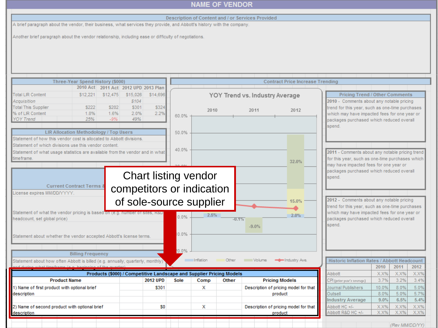#### **NAME OF VENDOR** Description of Content and / or Services Provided A brief paragraph about the vendor, their business, what services they provide, and Abbott's history with the company.<br>Another brief paragraph about the vendor relationship, including ease or difficulty of negotiations. Three-Year Spend History (\$000) **Contract Price Increase Trending** 2010 Act 2011 Act 2012 UPD 2013 Plan **Total LIR Content** \$12,475 \$15,026 YOY Trend vs. Industry Average **Pricing Trend / Other Comments** \$12,221 \$14,696 Acquisition \$104 2010 - Comments about any notable pricing **Total This Supplier** \$222 \$202 \$301 \$324 trend for this year, such as one-time purchases 2010 2011 2012 % of LIR Content  $1.8%$ 1.6% 2.0% 2.2% which may have impacted fees for one year or 60.0% **YOY Trend** 25%  $-9%$ 49% packages purchased which reduced overall spend. LIR Allocation Methodology / Top Users 50.0% Statement of how this vendor cost is allocated to Abbott divisions. Statement of which divisions use this vendor content. 40.0% Statement of what usage statistics are available from the vendor and in what 2011 - Comments about any notable pricing trend time frame. for this year, such as one-time purchases which 32.0% may have impacted fees for one year or packages purchased which reduced overall Chart listing vendor spend. **Current Contract Terms &** competitors or indication License expires MM/DD/YYYY of sole-source supplier2012 - Comments about any notable pricing 15.0% trend for this year, such as one-time purchases Statement of what the vendor pricing is based on (e.g. number of sites, which may have impacted fees for one year or  $2.5%$  $2.0%$  $0.0%$ headcount, set global price) packages purchased which reduced overall  $-0.1%$ spend.  $-9.0%$ 0.0% Statement about whether the vendor accepted Abbott's license terms. 20.0% **Billing Frequency** Inflation Other Volume **- Industry Ave.** Historic Inflation Rates / Abbott Headcount Statement about how often Abbott is billed (e.g. annually, quarterly, monthly) 2010 2012 2011 Products (\$000) / Competitive Landscape and Supplier Pricing Models X.X%  $X.X\%$ X.X% Abbott 3.7% 3.2%  $3.4%$ **Product Name 2012 UPD** Other **Pricing Models** Sole Comp CPI (prior year's average) 1) Name of first product with optional brief 5.0% \$301 X Description of pricing model for that Journal Publishers 10.0% 8.0% description Outsell 8.0% 5.0% 5.7% product **Industry Average**  $9.0%$  $6.5%$  $5.4%$ 2) Name of second product with optional brief<br>description S<sub>0</sub> х Description of pricing model for that Abbott HC +/-X.X% X.X% X.X% Abbott R&D HC +/-X.X% X.X% product X.X%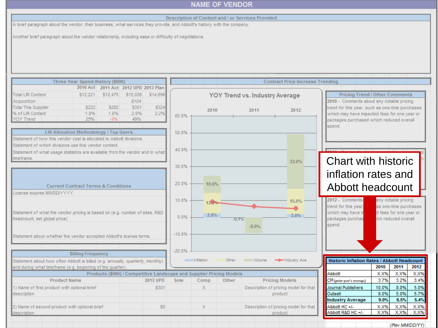#### Description of Content and / or Services Provided

A brief paragraph about the vendor, their business, what services they provide, and Abbott's history with the company.<br>Another brief paragraph about the vendor relationship, including ease or difficulty of negotiations.

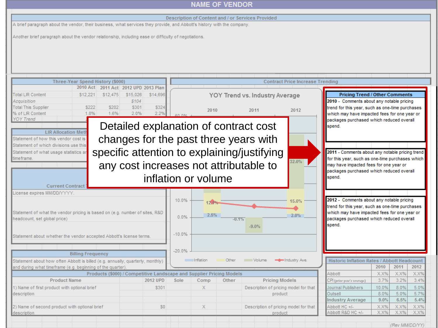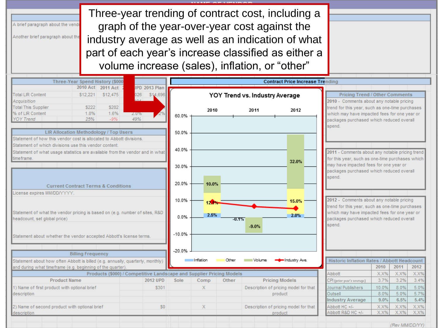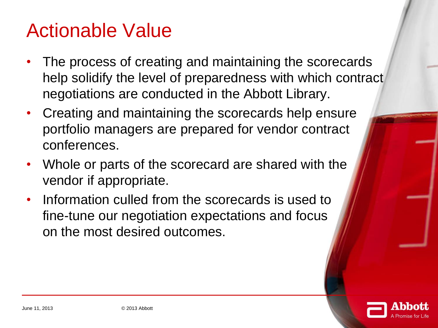### Actionable Value

- The process of creating and maintaining the scorecards help solidify the level of preparedness with which contract negotiations are conducted in the Abbott Library.
- Creating and maintaining the scorecards help ensure portfolio managers are prepared for vendor contract conferences.
- Whole or parts of the scorecard are shared with the vendor if appropriate.
- Information culled from the scorecards is used to fine-tune our negotiation expectations and focus on the most desired outcomes.

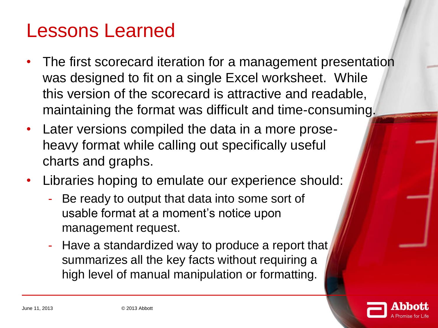### Lessons Learned

- The first scorecard iteration for a management presentation was designed to fit on a single Excel worksheet. While this version of the scorecard is attractive and readable, maintaining the format was difficult and time-consuming.
- Later versions compiled the data in a more proseheavy format while calling out specifically useful charts and graphs.
- Libraries hoping to emulate our experience should:
	- Be ready to output that data into some sort of usable format at a moment's notice upon management request.
	- Have a standardized way to produce a report that summarizes all the key facts without requiring a high level of manual manipulation or formatting.

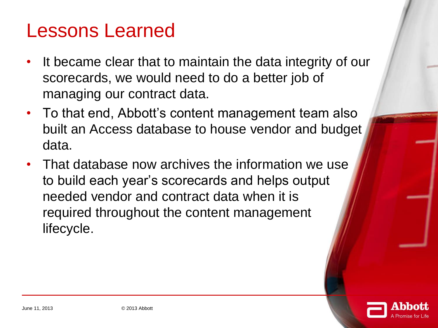### Lessons Learned

- It became clear that to maintain the data integrity of our scorecards, we would need to do a better job of managing our contract data.
- To that end, Abbott's content management team also built an Access database to house vendor and budget data.
- That database now archives the information we use to build each year's scorecards and helps output needed vendor and contract data when it is required throughout the content management lifecycle.

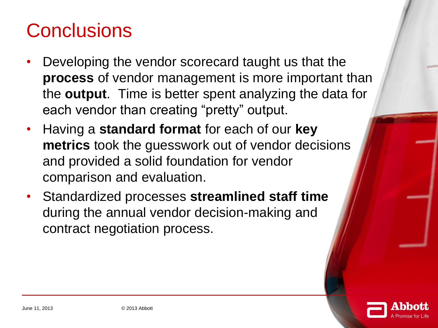## **Conclusions**

- Developing the vendor scorecard taught us that the **process** of vendor management is more important than the **output**. Time is better spent analyzing the data for each vendor than creating "pretty" output.
- Having a **standard format** for each of our **key metrics** took the guesswork out of vendor decisions and provided a solid foundation for vendor comparison and evaluation.
- Standardized processes **streamlined staff time** during the annual vendor decision-making and contract negotiation process.

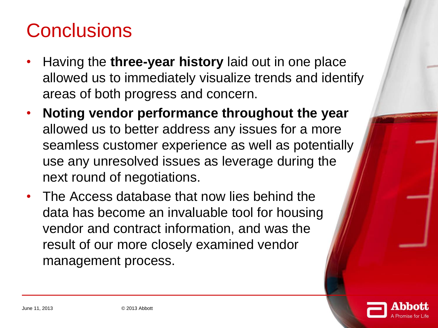## **Conclusions**

- Having the **three-year history** laid out in one place allowed us to immediately visualize trends and identify areas of both progress and concern.
- **Noting vendor performance throughout the year**  allowed us to better address any issues for a more seamless customer experience as well as potentially use any unresolved issues as leverage during the next round of negotiations.
- The Access database that now lies behind the data has become an invaluable tool for housing vendor and contract information, and was the result of our more closely examined vendor management process.

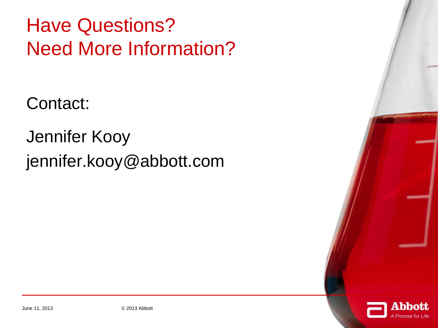Have Questions? Need More Information?

Contact:

Jennifer Kooy jennifer.kooy@abbott.com